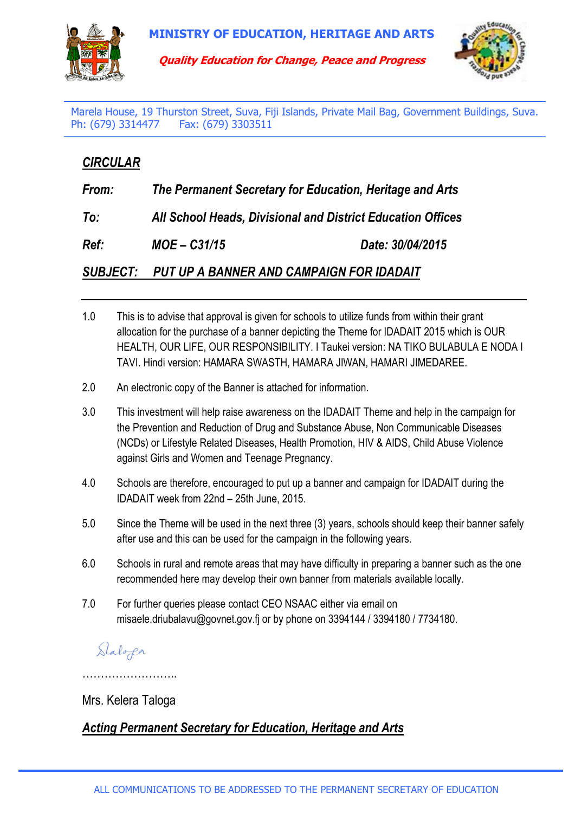

**Quality Education for Change, Peace and Progress**



Marela House, 19 Thurston Street, Suva, Fiji Islands, Private Mail Bag, Government Buildings, Suva. Ph: (679) 3314477 Fax: (679) 3303511

## *CIRCULAR*

| From:           | The Permanent Secretary for Education, Heritage and Arts    |                  |
|-----------------|-------------------------------------------------------------|------------------|
| To:             | All School Heads, Divisional and District Education Offices |                  |
| Ref:            | $MOE - C31/15$                                              | Date: 30/04/2015 |
| <b>SUBJECT:</b> | PUT UP A BANNER AND CAMPAIGN FOR IDADAIT                    |                  |

- 1.0 This is to advise that approval is given for schools to utilize funds from within their grant allocation for the purchase of a banner depicting the Theme for IDADAIT 2015 which is OUR HEALTH, OUR LIFE, OUR RESPONSIBILITY. I Taukei version: NA TIKO BULABULA E NODA I TAVI. Hindi version: HAMARA SWASTH, HAMARA JIWAN, HAMARI JIMEDAREE.
- 2.0 An electronic copy of the Banner is attached for information.
- 3.0 This investment will help raise awareness on the IDADAIT Theme and help in the campaign for the Prevention and Reduction of Drug and Substance Abuse, Non Communicable Diseases (NCDs) or Lifestyle Related Diseases, Health Promotion, HIV & AIDS, Child Abuse Violence against Girls and Women and Teenage Pregnancy.
- 4.0 Schools are therefore, encouraged to put up a banner and campaign for IDADAIT during the IDADAIT week from 22nd – 25th June, 2015.
- 5.0 Since the Theme will be used in the next three (3) years, schools should keep their banner safely after use and this can be used for the campaign in the following years.
- 6.0 Schools in rural and remote areas that may have difficulty in preparing a banner such as the one recommended here may develop their own banner from materials available locally.
- 7.0 For further queries please contact CEO NSAAC either via email on misaele.driubalavu@govnet.gov.fj or by phone on 3394144 / 3394180 / 7734180.

## Slaloga

……………………

## Mrs. Kelera Taloga

## *Acting Permanent Secretary for Education, Heritage and Arts*